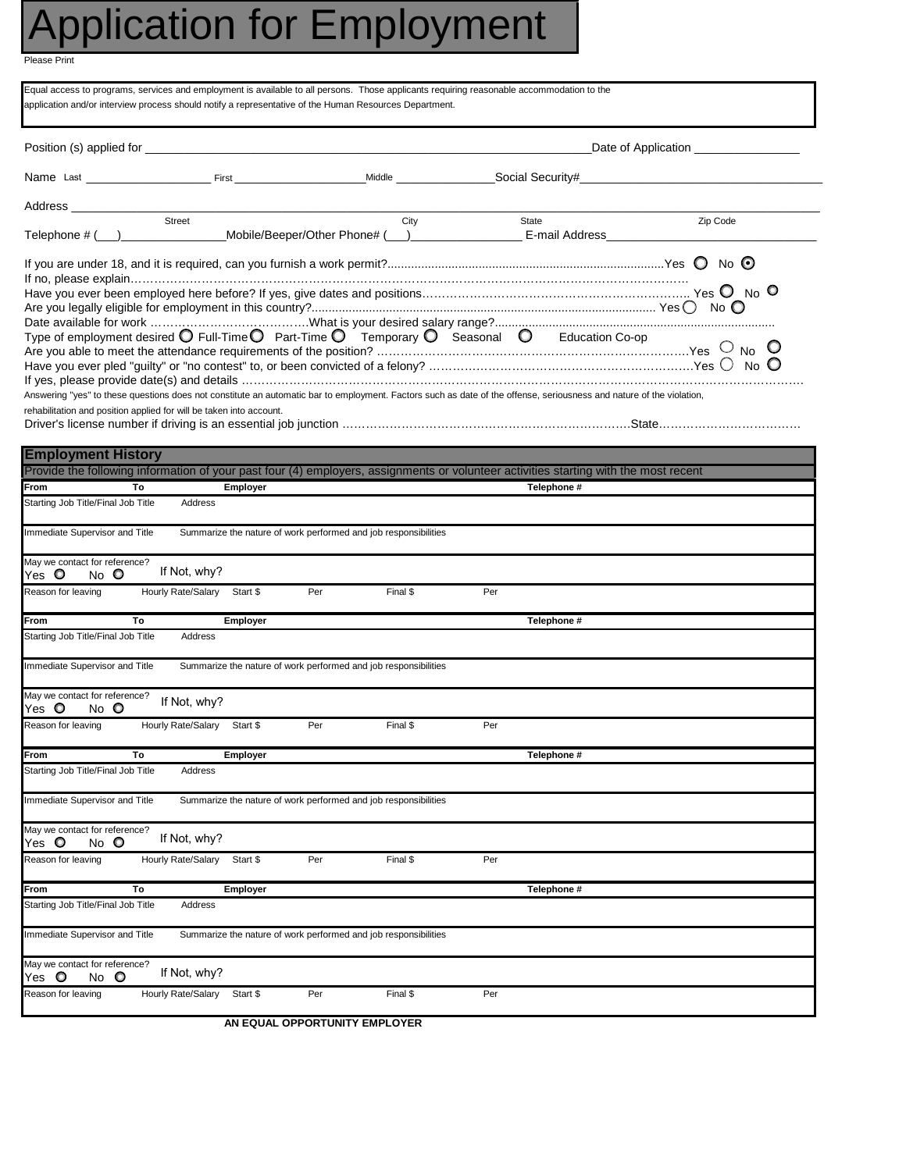## Application for Employment

Please Print

| Equal access to programs, services and employment is available to all persons. Those applicants requiring reasonable accommodation to the<br>application and/or interview process should notify a representative of the Human Resources Department. |    |                             |                 |     |                                                                 |                                     |                                                                                                                                                                                         |          |  |  |  |
|-----------------------------------------------------------------------------------------------------------------------------------------------------------------------------------------------------------------------------------------------------|----|-----------------------------|-----------------|-----|-----------------------------------------------------------------|-------------------------------------|-----------------------------------------------------------------------------------------------------------------------------------------------------------------------------------------|----------|--|--|--|
| Position (s) applied for <b>the contract of the contract of the contract of the contract of the contract of the contract of the contract of the contract of the contract of the contract of the contract of the contract of the </b>                |    |                             |                 |     |                                                                 | Date of Application _______________ |                                                                                                                                                                                         |          |  |  |  |
|                                                                                                                                                                                                                                                     |    |                             |                 |     |                                                                 |                                     |                                                                                                                                                                                         |          |  |  |  |
|                                                                                                                                                                                                                                                     |    | Street                      |                 |     | City                                                            |                                     |                                                                                                                                                                                         |          |  |  |  |
|                                                                                                                                                                                                                                                     |    |                             |                 |     |                                                                 |                                     | State                                                                                                                                                                                   | Zip Code |  |  |  |
| Type of employment desired $\bigcirc$ Full-Time $\bigcirc$ Part-Time $\bigcirc$ Temporary $\bigcirc$ Seasonal $\bigcirc$                                                                                                                            |    |                             |                 |     |                                                                 |                                     | Education Co-op<br>Answering "yes" to these questions does not constitute an automatic bar to employment. Factors such as date of the offense, seriousness and nature of the violation, |          |  |  |  |
| rehabilitation and position applied for will be taken into account.                                                                                                                                                                                 |    |                             |                 |     |                                                                 |                                     |                                                                                                                                                                                         |          |  |  |  |
| <b>Employment History</b>                                                                                                                                                                                                                           |    |                             |                 |     |                                                                 |                                     |                                                                                                                                                                                         |          |  |  |  |
|                                                                                                                                                                                                                                                     |    |                             |                 |     |                                                                 |                                     | Provide the following information of your past four (4) employers, assignments or volunteer activities starting with the most recent                                                    |          |  |  |  |
| From                                                                                                                                                                                                                                                | To |                             | Employer        |     |                                                                 |                                     | Telephone #                                                                                                                                                                             |          |  |  |  |
| Starting Job Title/Final Job Title                                                                                                                                                                                                                  |    | Address                     |                 |     |                                                                 |                                     |                                                                                                                                                                                         |          |  |  |  |
| Immediate Supervisor and Title                                                                                                                                                                                                                      |    |                             |                 |     | Summarize the nature of work performed and job responsibilities |                                     |                                                                                                                                                                                         |          |  |  |  |
| May we contact for reference?<br>No O<br>Yes 0                                                                                                                                                                                                      |    | If Not, why?                |                 |     |                                                                 |                                     |                                                                                                                                                                                         |          |  |  |  |
| Reason for leaving                                                                                                                                                                                                                                  |    | Hourly Rate/Salary Start \$ |                 | Per | Final \$                                                        | Per                                 |                                                                                                                                                                                         |          |  |  |  |
| From                                                                                                                                                                                                                                                | To |                             | <b>Employer</b> |     |                                                                 |                                     | Telephone #                                                                                                                                                                             |          |  |  |  |
| Starting Job Title/Final Job Title                                                                                                                                                                                                                  |    | Address                     |                 |     |                                                                 |                                     |                                                                                                                                                                                         |          |  |  |  |
| Immediate Supervisor and Title                                                                                                                                                                                                                      |    |                             |                 |     | Summarize the nature of work performed and job responsibilities |                                     |                                                                                                                                                                                         |          |  |  |  |
| May we contact for reference?<br>Yes 0<br>$No$ $\bullet$                                                                                                                                                                                            |    | If Not, why?                |                 |     |                                                                 |                                     |                                                                                                                                                                                         |          |  |  |  |
| Reason for leaving                                                                                                                                                                                                                                  |    | Hourly Rate/Salary Start \$ |                 | Per | Final \$                                                        | Per                                 |                                                                                                                                                                                         |          |  |  |  |
| From                                                                                                                                                                                                                                                | To |                             | <b>Employer</b> |     |                                                                 |                                     | Telephone #                                                                                                                                                                             |          |  |  |  |
| Starting Job Title/Final Job Title                                                                                                                                                                                                                  |    | Address                     |                 |     |                                                                 |                                     |                                                                                                                                                                                         |          |  |  |  |
| Immediate Supervisor and Title                                                                                                                                                                                                                      |    |                             |                 |     | Summarize the nature of work performed and job responsibilities |                                     |                                                                                                                                                                                         |          |  |  |  |
| May we contact for reference?<br>Yes <b>O</b><br>No<br>$\circ$                                                                                                                                                                                      |    | If Not, why?                |                 |     |                                                                 |                                     |                                                                                                                                                                                         |          |  |  |  |
| Reason for leaving                                                                                                                                                                                                                                  |    | Hourly Rate/Salary          | Start \$        | Per | Final \$                                                        | Per                                 |                                                                                                                                                                                         |          |  |  |  |
| From                                                                                                                                                                                                                                                | To |                             | Employer        |     |                                                                 |                                     | Telephone #                                                                                                                                                                             |          |  |  |  |
| Starting Job Title/Final Job Title                                                                                                                                                                                                                  |    | Address                     |                 |     |                                                                 |                                     |                                                                                                                                                                                         |          |  |  |  |
| Immediate Supervisor and Title                                                                                                                                                                                                                      |    |                             |                 |     | Summarize the nature of work performed and job responsibilities |                                     |                                                                                                                                                                                         |          |  |  |  |
| May we contact for reference?<br>No O<br>Yes <b>O</b>                                                                                                                                                                                               |    | If Not, why?                |                 |     |                                                                 |                                     |                                                                                                                                                                                         |          |  |  |  |
| Reason for leaving                                                                                                                                                                                                                                  |    | Hourly Rate/Salary          | Start \$        | Per | Final \$                                                        | Per                                 |                                                                                                                                                                                         |          |  |  |  |
|                                                                                                                                                                                                                                                     |    |                             |                 |     |                                                                 |                                     |                                                                                                                                                                                         |          |  |  |  |

**AN EQUAL OPPORTUNITY EMPLOYER**